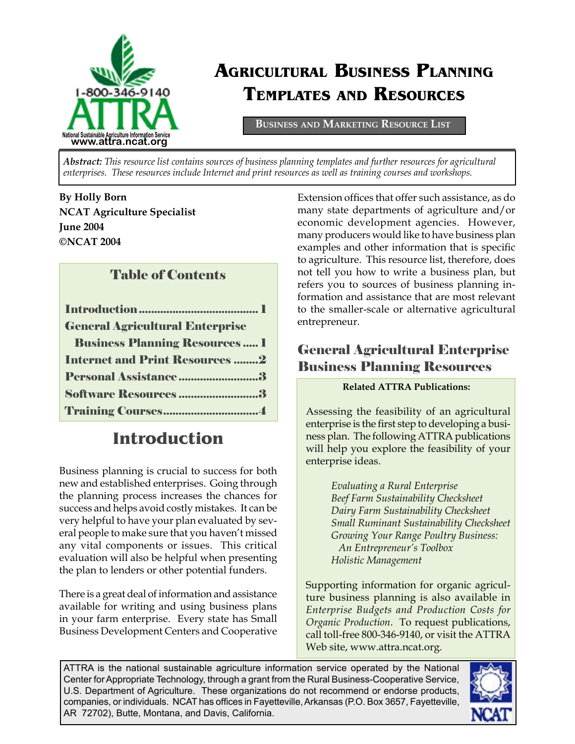

# **AGRICULTURAL BUSINESS PLANNING TEMPLATES AND RESOURCES**

**BUSINESS AND MARKETING RESOURCE LIST**

*Abstract: This resource list contains sources of business planning templates and further resources for agricultural enterprises. These resources include Internet and print resources as well as training courses and workshops.* 

**By Holly Born NCAT Agriculture Specialist June 2004 ©NCAT 2004**

#### Table of Contents

| <b>General Agricultural Enterprise</b> |
|----------------------------------------|
| <b>Business Planning Resources  1</b>  |
| <b>Internet and Print Resources 2</b>  |
| Personal Assistance3                   |
| Software Resources 3                   |
|                                        |

## **Introduction**

Business planning is crucial to success for both new and established enterprises. Going through the planning process increases the chances for success and helps avoid costly mistakes. It can be very helpful to have your plan evaluated by several people to make sure that you haven't missed any vital components or issues. This critical evaluation will also be helpful when presenting the plan to lenders or other potential funders.

There is a great deal of information and assistance available for writing and using business plans in your farm enterprise. Every state has Small Business Development Centers and Cooperative Extension offices that offer such assistance, as do many state departments of agriculture and/or economic development agencies. However, many producers would like to have business plan examples and other information that is specific to agriculture. This resource list, therefore, does not tell you how to write a business plan, but refers you to sources of business planning information and assistance that are most relevant to the smaller-scale or alternative agricultural entrepreneur.

## General Agricultural Enterprise Business Planning Resources

#### **Related ATTRA Publications:**

Assessing the feasibility of an agricultural enterprise is the first step to developing a business plan. The following ATTRA publications will help you explore the feasibility of your enterprise ideas.

> *Evaluating a Rural Enterprise Beef Farm Sustainability Checksheet Dairy Farm Sustainability Checksheet Small Ruminant Sustainability Checksheet Growing Your Range Poultry Business: An Entrepreneur's Toolbox Holistic Management*

Supporting information for organic agriculture business planning is also available in *Enterprise Budgets and Production Costs for Organic Production*. To request publications, call toll-free 800-346-9140, or visit the ATTRA Web site, www.attra.ncat.org.

ATTRA is the national sustainable agriculture information service operated by the National Center for Appropriate Technology, through a grant from the Rural Business-Cooperative Service, U.S. Department of Agriculture. These organizations do not recommend or endorse products, companies, or individuals. NCAT has offices in Fayetteville, Arkansas (P.O. Box 3657, Fayetteville, AR 72702), Butte, Montana, and Davis, California.

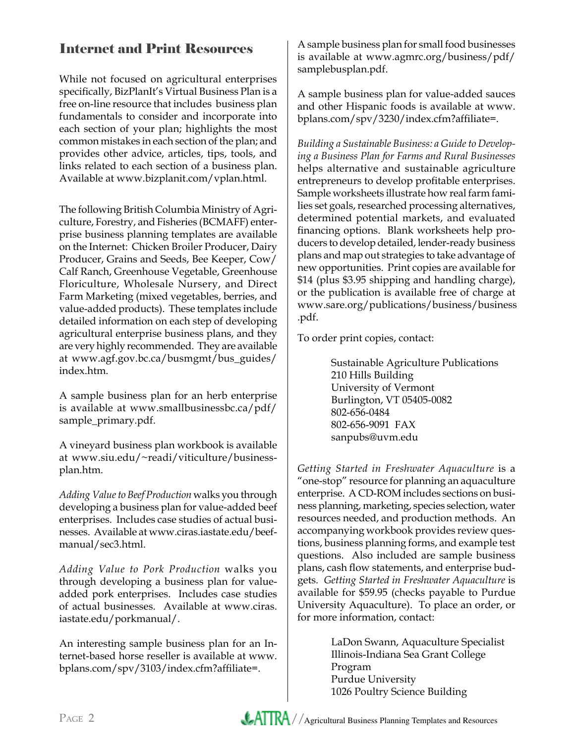## Internet and Print Resources

While not focused on agricultural enterprises specifically, BizPlanIt's Virtual Business Plan is a free on-line resource that includes business plan fundamentals to consider and incorporate into each section of your plan; highlights the most common mistakes in each section of the plan; and provides other advice, articles, tips, tools, and links related to each section of a business plan. Available at www.bizplanit.com/vplan.html.

The following British Columbia Ministry of Agriculture, Forestry, and Fisheries (BCMAFF) enterprise business planning templates are available on the Internet: Chicken Broiler Producer, Dairy Producer, Grains and Seeds, Bee Keeper, Cow/ Calf Ranch, Greenhouse Vegetable, Greenhouse Floriculture, Wholesale Nursery, and Direct Farm Marketing (mixed vegetables, berries, and value-added products). These templates include detailed information on each step of developing agricultural enterprise business plans, and they are very highly recommended. They are available at www.agf.gov.bc.ca/busmgmt/bus\_guides/ index.htm.

A sample business plan for an herb enterprise is available at www.smallbusinessbc.ca/pdf/ sample\_primary.pdf.

A vineyard business plan workbook is available at www.siu.edu/~readi/viticulture/businessplan.htm.

*Adding Value to Beef Production* walks you through developing a business plan for value-added beef enterprises. Includes case studies of actual businesses. Available at www.ciras.iastate.edu/beefmanual/sec3.html.

*Adding Value to Pork Production* walks you through developing a business plan for valueadded pork enterprises. Includes case studies of actual businesses. Available at www.ciras. iastate.edu/porkmanual/.

An interesting sample business plan for an Internet-based horse reseller is available at www. bplans.com/spv/3103/index.cfm?affiliate=.

A sample business plan for small food businesses is available at www.agmrc.org/business/pdf/ samplebusplan.pdf.

A sample business plan for value-added sauces and other Hispanic foods is available at www. bplans.com/spv/3230/index.cfm?affiliate=.

*Building a Sustainable Business: a Guide to Developing a Business Plan for Farms and Rural Businesses* helps alternative and sustainable agriculture entrepreneurs to develop profitable enterprises. Sample worksheets illustrate how real farm families set goals, researched processing alternatives, determined potential markets, and evaluated financing options. Blank worksheets help producers to develop detailed, lender-ready business plans and map out strategies to take advantage of new opportunities. Print copies are available for \$14 (plus \$3.95 shipping and handling charge), or the publication is available free of charge at www.sare.org/publications/business/business .pdf.

To order print copies, contact:

Sustainable Agriculture Publications 210 Hills Building University of Vermont Burlington, VT 05405-0082 802-656-0484 802-656-9091 FAX sanpubs@uvm.edu

*Getting Started in Freshwater Aquaculture* is a "one-stop" resource for planning an aquaculture enterprise. A CD-ROM includes sections on business planning, marketing, species selection, water resources needed, and production methods. An accompanying workbook provides review questions, business planning forms, and example test questions. Also included are sample business plans, cash flow statements, and enterprise budgets. *Getting Started in Freshwater Aquaculture* is available for \$59.95 (checks payable to Purdue University Aquaculture). To place an order, or for more information, contact:

> LaDon Swann, Aquaculture Specialist Illinois-Indiana Sea Grant College Program Purdue University 1026 Poultry Science Building

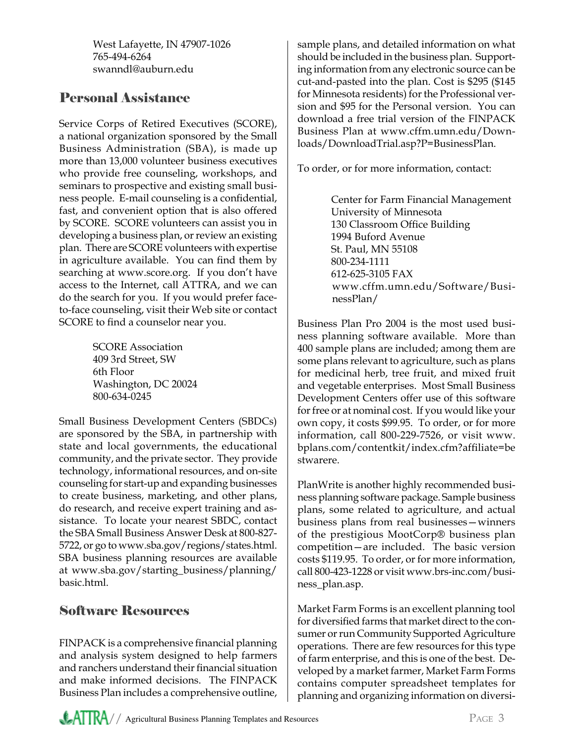West Lafayette, IN 47907-1026 765-494-6264 swanndl@auburn.edu

## Personal Assistance

Service Corps of Retired Executives (SCORE), a national organization sponsored by the Small Business Administration (SBA), is made up more than 13,000 volunteer business executives who provide free counseling, workshops, and seminars to prospective and existing small business people. E-mail counseling is a confidential, fast, and convenient option that is also offered by SCORE. SCORE volunteers can assist you in developing a business plan, or review an existing plan. There are SCORE volunteers with expertise in agriculture available. You can find them by searching at www.score.org. If you don't have access to the Internet, call ATTRA, and we can do the search for you. If you would prefer faceto-face counseling, visit their Web site or contact SCORE to find a counselor near you.

> SCORE Association 409 3rd Street, SW 6th Floor Washington, DC 20024 800-634-0245

Small Business Development Centers (SBDCs) are sponsored by the SBA, in partnership with state and local governments, the educational community, and the private sector. They provide technology, informational resources, and on-site counseling for start-up and expanding businesses to create business, marketing, and other plans, do research, and receive expert training and assistance. To locate your nearest SBDC, contact the SBA Small Business Answer Desk at 800-827- 5722, or go to www.sba.gov/regions/states.html. SBA business planning resources are available at www.sba.gov/starting\_business/planning/ basic.html.

### Software Resources

FINPACK is a comprehensive financial planning and analysis system designed to help farmers and ranchers understand their financial situation and make informed decisions. The FINPACK Business Plan includes a comprehensive outline,

sample plans, and detailed information on what should be included in the business plan. Supporting information from any electronic source can be cut-and-pasted into the plan. Cost is \$295 (\$145 for Minnesota residents) for the Professional version and \$95 for the Personal version. You can download a free trial version of the FINPACK Business Plan at www.cffm.umn.edu/Downloads/DownloadTrial.asp?P=BusinessPlan.

To order, or for more information, contact:

Center for Farm Financial Management University of Minnesota 130 Classroom Office Building 1994 Buford Avenue St. Paul, MN 55108 800-234-1111 612-625-3105 FAX www.cffm.umn.edu/Software/BusinessPlan/

Business Plan Pro 2004 is the most used business planning software available. More than 400 sample plans are included; among them are some plans relevant to agriculture, such as plans for medicinal herb, tree fruit, and mixed fruit and vegetable enterprises. Most Small Business Development Centers offer use of this software for free or at nominal cost. If you would like your own copy, it costs \$99.95. To order, or for more information, call 800-229-7526, or visit www. bplans.com/contentkit/index.cfm?affiliate=be stwarere.

PlanWrite is another highly recommended business planning software package. Sample business plans, some related to agriculture, and actual business plans from real businesses—winners of the prestigious MootCorp® business plan competition—are included. The basic version costs \$119.95. To order, or for more information, call 800-423-1228 or visit www.brs-inc.com/business\_plan.asp.

Market Farm Forms is an excellent planning tool for diversified farms that market direct to the consumer or run Community Supported Agriculture operations. There are few resources for this type of farm enterprise, and this is one of the best. Developed by a market farmer, Market Farm Forms contains computer spreadsheet templates for planning and organizing information on diversi